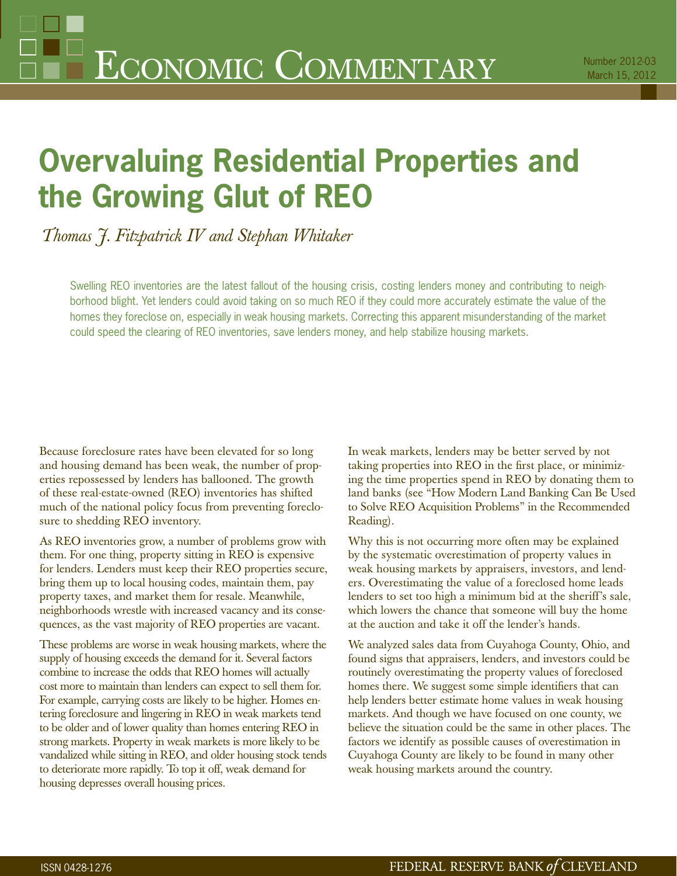# **Overvaluing Residential Properties and the Growing Glut of REO**

*Thomas J. Fitzpatrick IV and Stephan Whitaker*

Swelling REO inventories are the latest fallout of the housing crisis, costing lenders money and contributing to neighborhood blight. Yet lenders could avoid taking on so much REO if they could more accurately estimate the value of the homes they foreclose on, especially in weak housing markets. Correcting this apparent misunderstanding of the market could speed the clearing of REO inventories, save lenders money, and help stabilize housing markets.

Because foreclosure rates have been elevated for so long and housing demand has been weak, the number of properties repossessed by lenders has ballooned. The growth of these real-estate-owned (REO) inventories has shifted much of the national policy focus from preventing foreclosure to shedding REO inventory.

As REO inventories grow, a number of problems grow with them. For one thing, property sitting in REO is expensive for lenders. Lenders must keep their REO properties secure, bring them up to local housing codes, maintain them, pay property taxes, and market them for resale. Meanwhile, neighborhoods wrestle with increased vacancy and its consequences, as the vast majority of REO properties are vacant.

These problems are worse in weak housing markets, where the supply of housing exceeds the demand for it. Several factors combine to increase the odds that REO homes will actually cost more to maintain than lenders can expect to sell them for. For example, carrying costs are likely to be higher. Homes entering foreclosure and lingering in REO in weak markets tend to be older and of lower quality than homes entering REO in strong markets. Property in weak markets is more likely to be vandalized while sitting in REO, and older housing stock tends to deteriorate more rapidly. To top it off, weak demand for housing depresses overall housing prices.

In weak markets, lenders may be better served by not taking properties into REO in the first place, or minimizing the time properties spend in REO by donating them to land banks (see "How Modern Land Banking Can Be Used to Solve REO Acquisition Problems" in the Recommended Reading).

Why this is not occurring more often may be explained by the systematic overestimation of property values in weak housing markets by appraisers, investors, and lenders. Overestimating the value of a foreclosed home leads lenders to set too high a minimum bid at the sheriff's sale, which lowers the chance that someone will buy the home at the auction and take it off the lender's hands.

We analyzed sales data from Cuyahoga County, Ohio, and found signs that appraisers, lenders, and investors could be routinely overestimating the property values of foreclosed homes there. We suggest some simple identifiers that can help lenders better estimate home values in weak housing markets. And though we have focused on one county, we believe the situation could be the same in other places. The factors we identify as possible causes of overestimation in Cuyahoga County are likely to be found in many other weak housing markets around the country.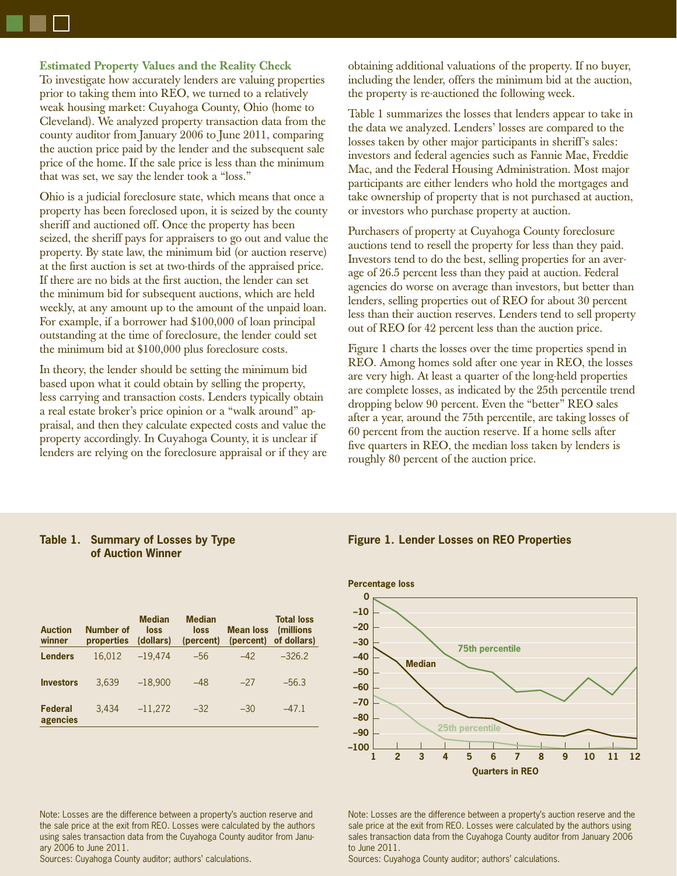**Estimated Property Values and the Reality Check**

To investigate how accurately lenders are valuing properties prior to taking them into REO, we turned to a relatively weak housing market: Cuyahoga County, Ohio (home to Cleveland). We analyzed property transaction data from the county auditor from January 2006 to June 2011, comparing the auction price paid by the lender and the subsequent sale price of the home. If the sale price is less than the minimum that was set, we say the lender took a "loss."

Ohio is a judicial foreclosure state, which means that once a property has been foreclosed upon, it is seized by the county sheriff and auctioned off. Once the property has been seized, the sheriff pays for appraisers to go out and value the property. By state law, the minimum bid (or auction reserve) at the first auction is set at two-thirds of the appraised price. If there are no bids at the first auction, the lender can set the minimum bid for subsequent auctions, which are held weekly, at any amount up to the amount of the unpaid loan. For example, if a borrower had \$100,000 of loan principal outstanding at the time of foreclosure, the lender could set the minimum bid at \$100,000 plus foreclosure costs.

In theory, the lender should be setting the minimum bid based upon what it could obtain by selling the property, less carrying and transaction costs. Lenders typically obtain a real estate broker's price opinion or a "walk around" appraisal, and then they calculate expected costs and value the property accordingly. In Cuyahoga County, it is unclear if lenders are relying on the foreclosure appraisal or if they are obtaining additional valuations of the property. If no buyer, including the lender, offers the minimum bid at the auction, the property is re-auctioned the following week.

Table 1 summarizes the losses that lenders appear to take in the data we analyzed. Lenders' losses are compared to the losses taken by other major participants in sheriff's sales: investors and federal agencies such as Fannie Mae, Freddie Mac, and the Federal Housing Administration. Most major participants are either lenders who hold the mortgages and take ownership of property that is not purchased at auction, or investors who purchase property at auction.

Purchasers of property at Cuyahoga County foreclosure auctions tend to resell the property for less than they paid. Investors tend to do the best, selling properties for an average of 26.5 percent less than they paid at auction. Federal agencies do worse on average than investors, but better than lenders, selling properties out of REO for about 30 percent less than their auction reserves. Lenders tend to sell property out of REO for 42 percent less than the auction price.

Figure 1 charts the losses over the time properties spend in REO. Among homes sold after one year in REO, the losses are very high. At least a quarter of the long-held properties are complete losses, as indicated by the 25th percentile trend dropping below 90 percent. Even the "better" REO sales after a year, around the 75th percentile, are taking losses of 60 percent from the auction reserve. If a home sells after five quarters in REO, the median loss taken by lenders is roughly 80 percent of the auction price.

## **Table 1. Summary of Losses by Type of Auction Winner**

| <b>Auction</b><br>winner | Number of<br>properties | <b>Median</b><br>loss<br>(dollars) | <b>Median</b><br>loss<br>(percent) | <b>Mean loss</b><br>(percent) | <b>Total loss</b><br><i>(millions)</i><br>of dollars) |
|--------------------------|-------------------------|------------------------------------|------------------------------------|-------------------------------|-------------------------------------------------------|
| <b>Lenders</b>           | 16.012                  | $-19.474$                          | $-56$                              | $-42$                         | $-326.2$                                              |
| <b>Investors</b>         | 3.639                   | $-18,900$                          | $-48$                              | $-27$                         | $-56.3$                                               |
| Federal<br>agencies      | 3.434                   | $-11,272$                          | $-32$                              | $-30$                         | $-47.1$                                               |

## **Figure 1. Lender Losses on REO Properties**



Note: Losses are the difference between a property's auction reserve and the sale price at the exit from REO. Losses were calculated by the authors using sales transaction data from the Cuyahoga County auditor from January 2006 to June 2011.

Sources: Cuyahoga County auditor; authors' calculations.

Note: Losses are the difference between a property's auction reserve and the sale price at the exit from REO. Losses were calculated by the authors using sales transaction data from the Cuyahoga County auditor from January 2006 to June 2011.

Sources: Cuyahoga County auditor; authors' calculations.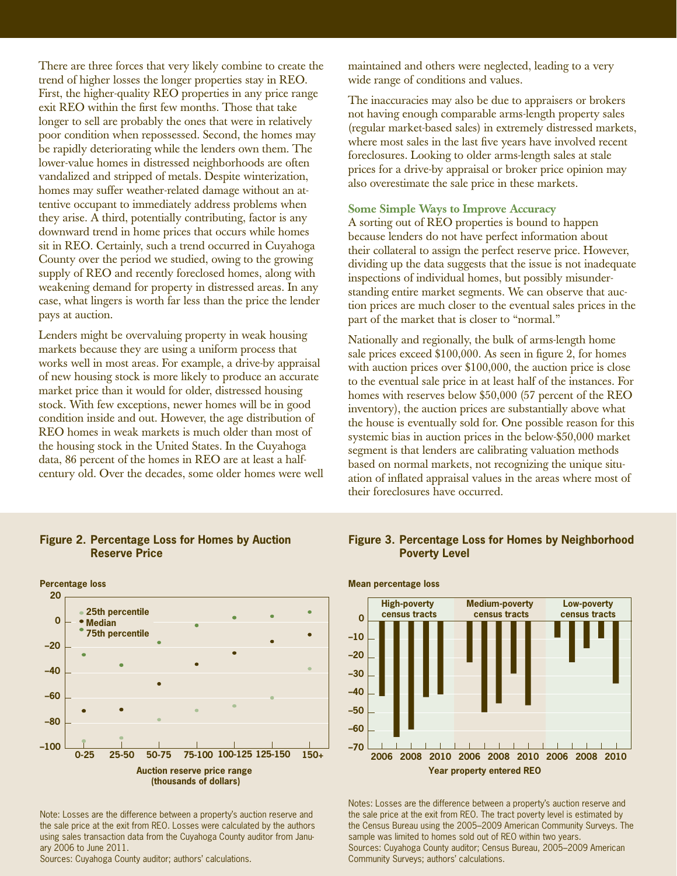There are three forces that very likely combine to create the trend of higher losses the longer properties stay in REO. First, the higher-quality REO properties in any price range exit REO within the first few months. Those that take longer to sell are probably the ones that were in relatively poor condition when repossessed. Second, the homes may be rapidly deteriorating while the lenders own them. The lower-value homes in distressed neighborhoods are often vandalized and stripped of metals. Despite winterization, homes may suffer weather-related damage without an attentive occupant to immediately address problems when they arise. A third, potentially contributing, factor is any downward trend in home prices that occurs while homes sit in REO. Certainly, such a trend occurred in Cuyahoga County over the period we studied, owing to the growing supply of REO and recently foreclosed homes, along with weakening demand for property in distressed areas. In any case, what lingers is worth far less than the price the lender pays at auction.

Lenders might be overvaluing property in weak housing markets because they are using a uniform process that works well in most areas. For example, a drive-by appraisal of new housing stock is more likely to produce an accurate market price than it would for older, distressed housing stock. With few exceptions, newer homes will be in good condition inside and out. However, the age distribution of REO homes in weak markets is much older than most of the housing stock in the United States. In the Cuyahoga data, 86 percent of the homes in REO are at least a halfcentury old. Over the decades, some older homes were well

# **Figure 2. Percentage Loss for Homes by Auction Reserve Price**



Note: Losses are the difference between a property's auction reserve and the sale price at the exit from REO. Losses were calculated by the authors using sales transaction data from the Cuyahoga County auditor from January 2006 to June 2011.

Sources: Cuyahoga County auditor; authors' calculations.

maintained and others were neglected, leading to a very wide range of conditions and values.

The inaccuracies may also be due to appraisers or brokers not having enough comparable arms-length property sales (regular market-based sales) in extremely distressed markets, where most sales in the last five years have involved recent foreclosures. Looking to older arms-length sales at stale prices for a drive-by appraisal or broker price opinion may also overestimate the sale price in these markets.

## **Some Simple Ways to Improve Accuracy**

A sorting out of REO properties is bound to happen because lenders do not have perfect information about their collateral to assign the perfect reserve price. However, dividing up the data suggests that the issue is not inadequate inspections of individual homes, but possibly misunderstanding entire market segments. We can observe that auction prices are much closer to the eventual sales prices in the part of the market that is closer to "normal."

Nationally and regionally, the bulk of arms-length home sale prices exceed  $$100,000$ . As seen in figure 2, for homes with auction prices over \$100,000, the auction price is close to the eventual sale price in at least half of the instances. For homes with reserves below \$50,000 (57 percent of the REO inventory), the auction prices are substantially above what the house is eventually sold for. One possible reason for this systemic bias in auction prices in the below-\$50,000 market segment is that lenders are calibrating valuation methods based on normal markets, not recognizing the unique situation of inflated appraisal values in the areas where most of their foreclosures have occurred.

# **Figure 3. Percentage Loss for Homes by Neighborhood Poverty Level**



Notes: Losses are the difference between a property's auction reserve and the sale price at the exit from REO. The tract poverty level is estimated by the Census Bureau using the 2005–2009 American Community Surveys. The sample was limited to homes sold out of REO within two years. Sources: Cuyahoga County auditor; Census Bureau, 2005–2009 American Community Surveys; authors' calculations.

### **Mean percentage loss**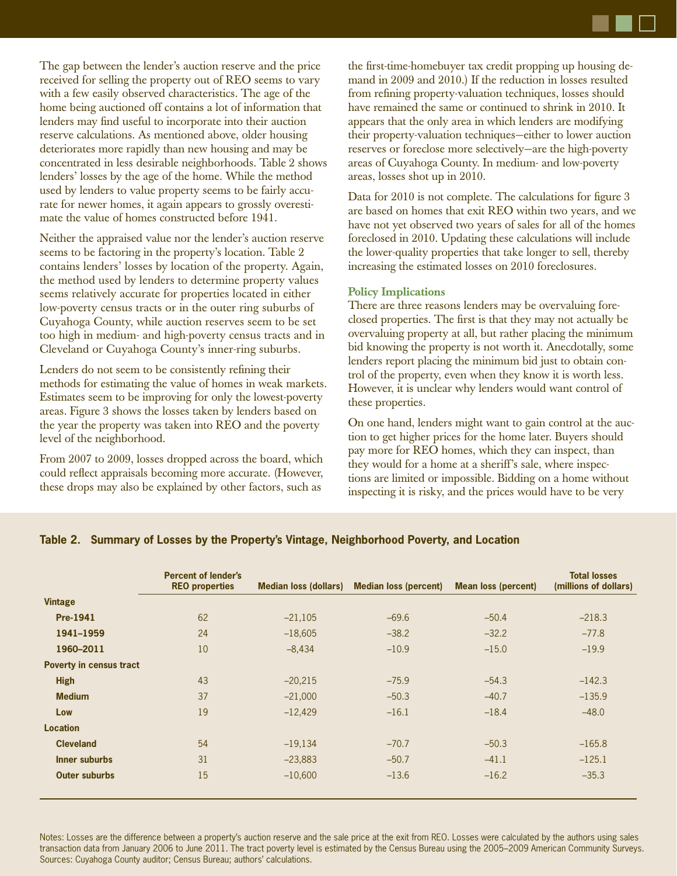The gap between the lender's auction reserve and the price received for selling the property out of REO seems to vary with a few easily observed characteristics. The age of the home being auctioned off contains a lot of information that lenders may find useful to incorporate into their auction reserve calculations. As mentioned above, older housing deteriorates more rapidly than new housing and may be concentrated in less desirable neighborhoods. Table 2 shows lenders' losses by the age of the home. While the method used by lenders to value property seems to be fairly accurate for newer homes, it again appears to grossly overestimate the value of homes constructed before 1941.

Neither the appraised value nor the lender's auction reserve seems to be factoring in the property's location. Table 2 contains lenders' losses by location of the property. Again, the method used by lenders to determine property values seems relatively accurate for properties located in either low-poverty census tracts or in the outer ring suburbs of Cuyahoga County, while auction reserves seem to be set too high in medium- and high-poverty census tracts and in Cleveland or Cuyahoga County's inner-ring suburbs.

Lenders do not seem to be consistently refining their methods for estimating the value of homes in weak markets. Estimates seem to be improving for only the lowest-poverty areas. Figure 3 shows the losses taken by lenders based on the year the property was taken into REO and the poverty level of the neighborhood.

From 2007 to 2009, losses dropped across the board, which could reflect appraisals becoming more accurate. (However, these drops may also be explained by other factors, such as

the first-time-homebuyer tax credit propping up housing demand in 2009 and 2010.) If the reduction in losses resulted from refining property-valuation techniques, losses should have remained the same or continued to shrink in 2010. It appears that the only area in which lenders are modifying their property-valuation techniques—either to lower auction reserves or foreclose more selectively—are the high-poverty areas of Cuyahoga County. In medium- and low-poverty areas, losses shot up in 2010.

Data for 2010 is not complete. The calculations for figure 3 are based on homes that exit REO within two years, and we have not yet observed two years of sales for all of the homes foreclosed in 2010. Updating these calculations will include the lower-quality properties that take longer to sell, thereby increasing the estimated losses on 2010 foreclosures.

## **Policy Implications**

There are three reasons lenders may be overvaluing foreclosed properties. The first is that they may not actually be overvaluing property at all, but rather placing the minimum bid knowing the property is not worth it. Anecdotally, some lenders report placing the minimum bid just to obtain control of the property, even when they know it is worth less. However, it is unclear why lenders would want control of these properties.

On one hand, lenders might want to gain control at the auction to get higher prices for the home later. Buyers should pay more for REO homes, which they can inspect, than they would for a home at a sheriff's sale, where inspections are limited or impossible. Bidding on a home without inspecting it is risky, and the prices would have to be very

## **Table 2. Summary of Losses by the Property's Vintage, Neighborhood Poverty, and Location**

|                                | <b>Percent of lender's</b><br><b>REO</b> properties | <b>Median loss (dollars)</b> | <b>Median loss (percent)</b> | <b>Mean loss (percent)</b> | <b>Total losses</b><br>(millions of dollars) |
|--------------------------------|-----------------------------------------------------|------------------------------|------------------------------|----------------------------|----------------------------------------------|
| <b>Vintage</b>                 |                                                     |                              |                              |                            |                                              |
| <b>Pre-1941</b>                | 62                                                  | $-21,105$                    | $-69.6$                      | $-50.4$                    | $-218.3$                                     |
| 1941-1959                      | 24                                                  | $-18,605$                    | $-38.2$                      | $-32.2$                    | $-77.8$                                      |
| 1960-2011                      | 10                                                  | $-8,434$                     | $-10.9$                      | $-15.0$                    | $-19.9$                                      |
| <b>Poverty in census tract</b> |                                                     |                              |                              |                            |                                              |
| <b>High</b>                    | 43                                                  | $-20,215$                    | $-75.9$                      | $-54.3$                    | $-142.3$                                     |
| <b>Medium</b>                  | 37                                                  | $-21,000$                    | $-50.3$                      | $-40.7$                    | $-135.9$                                     |
| Low                            | 19                                                  | $-12,429$                    | $-16.1$                      | $-18.4$                    | $-48.0$                                      |
| <b>Location</b>                |                                                     |                              |                              |                            |                                              |
| <b>Cleveland</b>               | 54                                                  | $-19,134$                    | $-70.7$                      | $-50.3$                    | $-165.8$                                     |
| Inner suburbs                  | 31                                                  | $-23,883$                    | $-50.7$                      | $-41.1$                    | $-125.1$                                     |
| <b>Outer suburbs</b>           | 15                                                  | $-10,600$                    | $-13.6$                      | $-16.2$                    | $-35.3$                                      |

Notes: Losses are the difference between a property's auction reserve and the sale price at the exit from REO. Losses were calculated by the authors using sales transaction data from January 2006 to June 2011. The tract poverty level is estimated by the Census Bureau using the 2005–2009 American Community Surveys. Sources: Cuyahoga County auditor; Census Bureau; authors' calculations.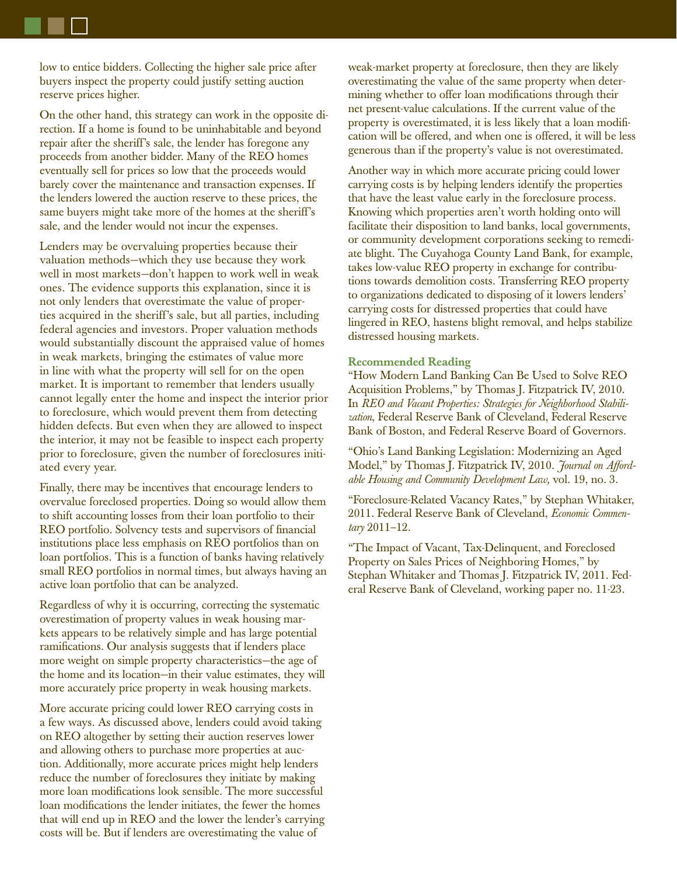low to entice bidders. Collecting the higher sale price after buyers inspect the property could justify setting auction reserve prices higher.

On the other hand, this strategy can work in the opposite direction. If a home is found to be uninhabitable and beyond repair after the sheriff's sale, the lender has foregone any proceeds from another bidder. Many of the REO homes eventually sell for prices so low that the proceeds would barely cover the maintenance and transaction expenses. If the lenders lowered the auction reserve to these prices, the same buyers might take more of the homes at the sheriff's sale, and the lender would not incur the expenses.

Lenders may be overvaluing properties because their valuation methods—which they use because they work well in most markets—don't happen to work well in weak ones. The evidence supports this explanation, since it is not only lenders that overestimate the value of properties acquired in the sheriff's sale, but all parties, including federal agencies and investors. Proper valuation methods would substantially discount the appraised value of homes in weak markets, bringing the estimates of value more in line with what the property will sell for on the open market. It is important to remember that lenders usually cannot legally enter the home and inspect the interior prior to foreclosure, which would prevent them from detecting hidden defects. But even when they are allowed to inspect the interior, it may not be feasible to inspect each property prior to foreclosure, given the number of foreclosures initiated every year.

Finally, there may be incentives that encourage lenders to overvalue foreclosed properties. Doing so would allow them to shift accounting losses from their loan portfolio to their REO portfolio. Solvency tests and supervisors of financial institutions place less emphasis on REO portfolios than on loan portfolios. This is a function of banks having relatively small REO portfolios in normal times, but always having an active loan portfolio that can be analyzed.

Regardless of why it is occurring, correcting the systematic overestimation of property values in weak housing markets appears to be relatively simple and has large potential ramifications. Our analysis suggests that if lenders place more weight on simple property characteristics—the age of the home and its location—in their value estimates, they will more accurately price property in weak housing markets.

More accurate pricing could lower REO carrying costs in a few ways. As discussed above, lenders could avoid taking on REO altogether by setting their auction reserves lower and allowing others to purchase more properties at auction. Additionally, more accurate prices might help lenders reduce the number of foreclosures they initiate by making more loan modifications look sensible. The more successful loan modifications the lender initiates, the fewer the homes that will end up in REO and the lower the lender's carrying costs will be. But if lenders are overestimating the value of

weak-market property at foreclosure, then they are likely overestimating the value of the same property when determining whether to offer loan modifications through their net present-value calculations. If the current value of the property is overestimated, it is less likely that a loan modification will be offered, and when one is offered, it will be less generous than if the property's value is not overestimated.

Another way in which more accurate pricing could lower carrying costs is by helping lenders identify the properties that have the least value early in the foreclosure process. Knowing which properties aren't worth holding onto will facilitate their disposition to land banks, local governments, or community development corporations seeking to remediate blight. The Cuyahoga County Land Bank, for example, takes low-value REO property in exchange for contributions towards demolition costs. Transferring REO property to organizations dedicated to disposing of it lowers lenders' carrying costs for distressed properties that could have lingered in REO, hastens blight removal, and helps stabilize distressed housing markets.

#### **Recommended Reading**

"How Modern Land Banking Can Be Used to Solve REO Acquisition Problems," by Thomas J. Fitzpatrick IV, 2010. In *REO and Vacant Properties: Strategies for Neighborhood Stabilization*, Federal Reserve Bank of Cleveland, Federal Reserve Bank of Boston, and Federal Reserve Board of Governors.

"Ohio's Land Banking Legislation: Modernizing an Aged Model," by Thomas J. Fitzpatrick IV, 2010. *Journal on Affordable Housing and Community Development Law,* vol. 19, no. 3.

"Foreclosure-Related Vacancy Rates," by Stephan Whitaker, 2011. Federal Reserve Bank of Cleveland, *Economic Commentary* 2011–12.

"The Impact of Vacant, Tax-Delinquent, and Foreclosed Property on Sales Prices of Neighboring Homes," by Stephan Whitaker and Thomas J. Fitzpatrick IV, 2011. Federal Reserve Bank of Cleveland, working paper no. 11-23.